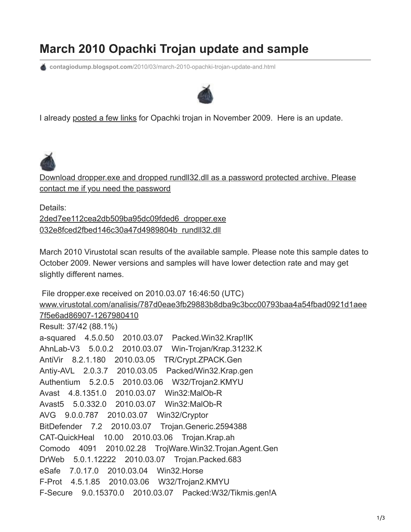## **March 2010 Opachki Trojan update and sample**

**contagiodump.blogspot.com**[/2010/03/march-2010-opachki-trojan-update-and.html](http://contagiodump.blogspot.com/2010/03/march-2010-opachki-trojan-update-and.html)



I already [posted a few links](http://contagiodump.blogspot.com/2009/11/win32opachkia-trojan-that-removes-zeus.html) for Opachki trojan in November 2009. Here is an update.



[Download dropper.exe and dropped rundll32.dll as a password protected archive. Please](http://www.mediafire.com/?y3jztgig5zy) contact me if you need the password

Details: [2ded7ee112cea2db509ba95dc09fded6 dropper.exe](http://www.blogger.com/goog_1267992205930) [032e8fced2fbed146c30a47d4989804b rundll32.dll](http://baseportal.com/cgi-bin/baseportal.pl?htx=/MilaP/Contagio&localparams=1&db=Contagio&cmd=list&range=0,100&cmd=all&Id=64)

March 2010 Virustotal scan results of the available sample. Please note this sample dates to October 2009. Newer versions and samples will have lower detection rate and may get slightly different names.

```
 File dropper.exe received on 2010.03.07 16:46:50 (UTC)
www.virustotal.com/analisis/787d0eae3fb29883b8dba9c3bcc00793baa4a54fbad0921d1aee
7f5e6ad86907-1267980410
Result: 37/42 (88.1%)
a-squared 4.5.0.50 2010.03.07 Packed.Win32.Krap!IK
AhnLab-V3 5.0.0.2 2010.03.07 Win-Trojan/Krap.31232.K
AntiVir 8.2.1.180 2010.03.05 TR/Crypt.ZPACK.Gen
Antiy-AVL 2.0.3.7 2010.03.05 Packed/Win32.Krap.gen
Authentium 5.2.0.5 2010.03.06 W32/Trojan2.KMYU
Avast 4.8.1351.0 2010.03.07 Win32:MalOb-R
Avast5 5.0.332.0 2010.03.07 Win32:MalOb-R
AVG 9.0.0.787 2010.03.07 Win32/Cryptor
BitDefender 7.2 2010.03.07 Trojan.Generic.2594388
CAT-QuickHeal 10.00 2010.03.06 Trojan.Krap.ah
Comodo 4091 2010.02.28 TrojWare.Win32.Trojan.Agent.Gen
DrWeb 5.0.1.12222 2010.03.07 Trojan.Packed.683
eSafe 7.0.17.0 2010.03.04 Win32.Horse
F-Prot 4.5.1.85 2010.03.06 W32/Trojan2.KMYU
F-Secure 9.0.15370.0 2010.03.07 Packed:W32/Tikmis.gen!A
```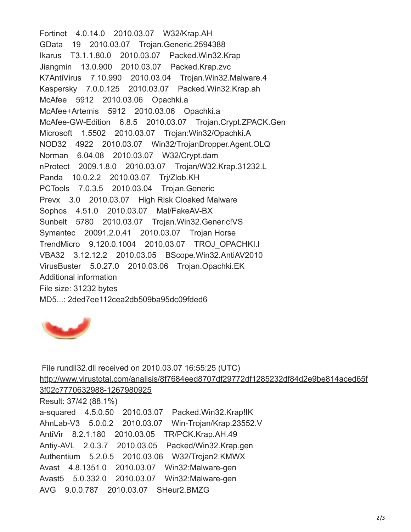Fortinet 4.0.14.0 2010.03.07 W32/Krap.AH GData 19 2010.03.07 Trojan.Generic.2594388 Ikarus T3.1.1.80.0 2010.03.07 Packed.Win32.Krap Jiangmin 13.0.900 2010.03.07 Packed.Krap.zvc K7AntiVirus 7.10.990 2010.03.04 Trojan.Win32.Malware.4 Kaspersky 7.0.0.125 2010.03.07 Packed.Win32.Krap.ah McAfee 5912 2010.03.06 Opachki.a McAfee+Artemis 5912 2010.03.06 Opachki.a McAfee-GW-Edition 6.8.5 2010.03.07 Trojan.Crypt.ZPACK.Gen Microsoft 1.5502 2010.03.07 Trojan:Win32/Opachki.A NOD32 4922 2010.03.07 Win32/TrojanDropper.Agent.OLQ Norman 6.04.08 2010.03.07 W32/Crypt.dam nProtect 2009.1.8.0 2010.03.07 Trojan/W32.Krap.31232.L Panda 10.0.2.2 2010.03.07 Trj/Zlob.KH PCTools 7.0.3.5 2010.03.04 Trojan.Generic Prevx 3.0 2010.03.07 High Risk Cloaked Malware Sophos 4.51.0 2010.03.07 Mal/FakeAV-BX Sunbelt 5780 2010.03.07 Trojan.Win32.Generic!VS Symantec 20091.2.0.41 2010.03.07 Trojan Horse TrendMicro 9.120.0.1004 2010.03.07 TROJ\_OPACHKI.I VBA32 3.12.12.2 2010.03.05 BScope.Win32.AntiAV2010 VirusBuster 5.0.27.0 2010.03.06 Trojan.Opachki.EK Additional information File size: 31232 bytes MD5...: 2ded7ee112cea2db509ba95dc09fded6



 File rundll32.dll received on 2010.03.07 16:55:25 (UTC) [http://www.virustotal.com/analisis/8f7684eed8707df29772df1285232df84d2e9be814aced65f](http://www.virustotal.com/analisis/8f7684eed8707df29772df1285232df84d2e9be814aced65f3f02c7770632988-1267980925) 3f02c7770632988-1267980925 Result: 37/42 (88.1%) a-squared 4.5.0.50 2010.03.07 Packed.Win32.Krap!IK AhnLab-V3 5.0.0.2 2010.03.07 Win-Trojan/Krap.23552.V AntiVir 8.2.1.180 2010.03.05 TR/PCK.Krap.AH.49 Antiy-AVL 2.0.3.7 2010.03.05 Packed/Win32.Krap.gen Authentium 5.2.0.5 2010.03.06 W32/Trojan2.KMWX Avast 4.8.1351.0 2010.03.07 Win32:Malware-gen Avast5 5.0.332.0 2010.03.07 Win32:Malware-gen AVG 9.0.0.787 2010.03.07 SHeur2.BMZG